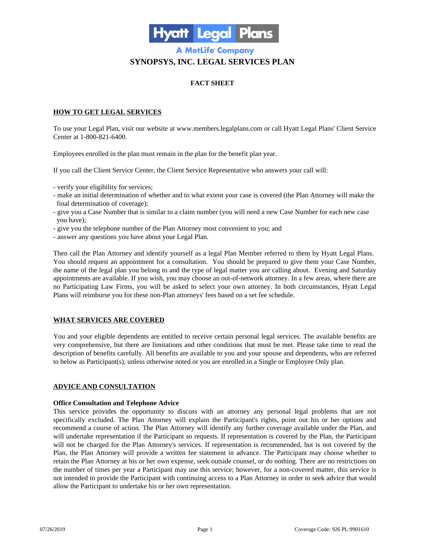

# **A MetLife Company SYNOPSYS, INC. LEGAL SERVICES PLAN**

## **FACT SHEET**

## **HOW TO GET LEGAL SERVICES**

To use your Legal Plan, visit our website at www.members.legalplans.com or call Hyatt Legal Plans' Client Service Center at 1-800-821-6400.

Employees enrolled in the plan must remain in the plan for the benefit plan year.

If you call the Client Service Center, the Client Service Representative who answers your call will:

- verify your eligibility for services;
- make an initial determination of whether and to what extent your case is covered (the Plan Attorney will make the final determination of coverage);
- give you a Case Number that is similar to a claim number (you will need a new Case Number for each new case you have);
- give you the telephone number of the Plan Attorney most convenient to you; and
- answer any questions you have about your Legal Plan.

Then call the Plan Attorney and identify yourself as a legal Plan Member referred to them by Hyatt Legal Plans. You should request an appointment for a consultation. You should be prepared to give them your Case Number, the name of the legal plan you belong to and the type of legal matter you are calling about. Evening and Saturday appointments are available. If you wish, you may choose an out-of-network attorney. In a few areas, where there are no Participating Law Firms, you will be asked to select your own attorney. In both circumstances, Hyatt Legal Plans will reimburse you for these non-Plan attorneys' fees based on a set fee schedule.

## **WHAT SERVICES ARE COVERED**

You and your eligible dependents are entitled to receive certain personal legal services. The available benefits are very comprehensive, but there are limitations and other conditions that must be met. Please take time to read the description of benefits carefully. All benefits are available to you and your spouse and dependents, who are referred to below as Participant(s), unless otherwise noted or you are enrolled in a Single or Employee Only plan.

## **ADVICE AND CONSULTATION**

## **Office Consultation and Telephone Advice**

This service provides the opportunity to discuss with an attorney any personal legal problems that are not specifically excluded. The Plan Attorney will explain the Participant's rights, point out his or her options and recommend a course of action. The Plan Attorney will identify any further coverage available under the Plan, and will undertake representation if the Participant so requests. If representation is covered by the Plan, the Participant will not be charged for the Plan Attorney's services. If representation is recommended, but is not covered by the Plan, the Plan Attorney will provide a written fee statement in advance. The Participant may choose whether to retain the Plan Attorney at his or her own expense, seek outside counsel, or do nothing. There are no restrictions on the number of times per year a Participant may use this service; however, for a non-covered matter, this service is not intended to provide the Participant with continuing access to a Plan Attorney in order to seek advice that would allow the Participant to undertake his or her own representation.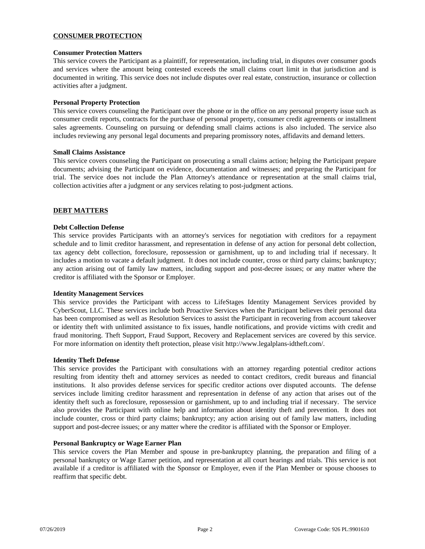## **CONSUMER PROTECTION**

## **Consumer Protection Matters**

This service covers the Participant as a plaintiff, for representation, including trial, in disputes over consumer goods and services where the amount being contested exceeds the small claims court limit in that jurisdiction and is documented in writing. This service does not include disputes over real estate, construction, insurance or collection activities after a judgment.

## **Personal Property Protection**

This service covers counseling the Participant over the phone or in the office on any personal property issue such as consumer credit reports, contracts for the purchase of personal property, consumer credit agreements or installment sales agreements. Counseling on pursuing or defending small claims actions is also included. The service also includes reviewing any personal legal documents and preparing promissory notes, affidavits and demand letters.

#### **Small Claims Assistance**

This service covers counseling the Participant on prosecuting a small claims action; helping the Participant prepare documents; advising the Participant on evidence, documentation and witnesses; and preparing the Participant for trial. The service does not include the Plan Attorney's attendance or representation at the small claims trial, collection activities after a judgment or any services relating to post-judgment actions.

## **DEBT MATTERS**

#### **Debt Collection Defense**

This service provides Participants with an attorney's services for negotiation with creditors for a repayment schedule and to limit creditor harassment, and representation in defense of any action for personal debt collection, tax agency debt collection, foreclosure, repossession or garnishment, up to and including trial if necessary. It includes a motion to vacate a default judgment. It does not include counter, cross or third party claims; bankruptcy; any action arising out of family law matters, including support and post-decree issues; or any matter where the creditor is affiliated with the Sponsor or Employer.

#### **Identity Management Services**

This service provides the Participant with access to LifeStages Identity Management Services provided by CyberScout, LLC. These services include both Proactive Services when the Participant believes their personal data has been compromised as well as Resolution Services to assist the Participant in recovering from account takeover or identity theft with unlimited assistance to fix issues, handle notifications, and provide victims with credit and fraud monitoring. Theft Support, Fraud Support, Recovery and Replacement services are covered by this service. For more information on identity theft protection, please visit http://www.legalplans-idtheft.com/.

#### **Identity Theft Defense**

This service provides the Participant with consultations with an attorney regarding potential creditor actions resulting from identity theft and attorney services as needed to contact creditors, credit bureaus and financial institutions. It also provides defense services for specific creditor actions over disputed accounts. The defense services include limiting creditor harassment and representation in defense of any action that arises out of the identity theft such as foreclosure, repossession or garnishment, up to and including trial if necessary. The service also provides the Participant with online help and information about identity theft and prevention. It does not include counter, cross or third party claims; bankruptcy; any action arising out of family law matters, including support and post-decree issues; or any matter where the creditor is affiliated with the Sponsor or Employer.

#### **Personal Bankruptcy or Wage Earner Plan**

This service covers the Plan Member and spouse in pre-bankruptcy planning, the preparation and filing of a personal bankruptcy or Wage Earner petition, and representation at all court hearings and trials. This service is not available if a creditor is affiliated with the Sponsor or Employer, even if the Plan Member or spouse chooses to reaffirm that specific debt.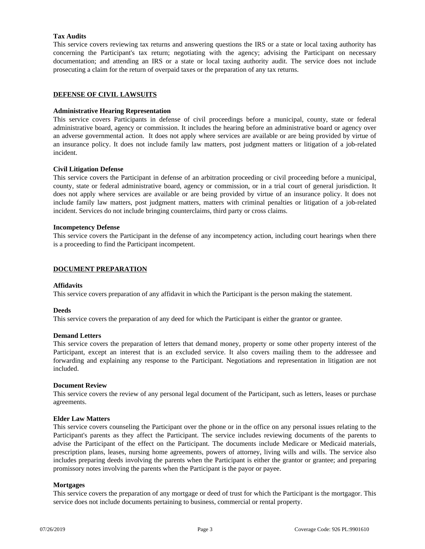## **Tax Audits**

This service covers reviewing tax returns and answering questions the IRS or a state or local taxing authority has concerning the Participant's tax return; negotiating with the agency; advising the Participant on necessary documentation; and attending an IRS or a state or local taxing authority audit. The service does not include prosecuting a claim for the return of overpaid taxes or the preparation of any tax returns.

## **DEFENSE OF CIVIL LAWSUITS**

## **Administrative Hearing Representation**

This service covers Participants in defense of civil proceedings before a municipal, county, state or federal administrative board, agency or commission. It includes the hearing before an administrative board or agency over an adverse governmental action. It does not apply where services are available or are being provided by virtue of an insurance policy. It does not include family law matters, post judgment matters or litigation of a job-related incident.

## **Civil Litigation Defense**

This service covers the Participant in defense of an arbitration proceeding or civil proceeding before a municipal, county, state or federal administrative board, agency or commission, or in a trial court of general jurisdiction. It does not apply where services are available or are being provided by virtue of an insurance policy. It does not include family law matters, post judgment matters, matters with criminal penalties or litigation of a job-related incident. Services do not include bringing counterclaims, third party or cross claims.

#### **Incompetency Defense**

This service covers the Participant in the defense of any incompetency action, including court hearings when there is a proceeding to find the Participant incompetent.

## **DOCUMENT PREPARATION**

### **Affidavits**

This service covers preparation of any affidavit in which the Participant is the person making the statement.

#### **Deeds**

This service covers the preparation of any deed for which the Participant is either the grantor or grantee.

#### **Demand Letters**

This service covers the preparation of letters that demand money, property or some other property interest of the Participant, except an interest that is an excluded service. It also covers mailing them to the addressee and forwarding and explaining any response to the Participant. Negotiations and representation in litigation are not included.

#### **Document Review**

This service covers the review of any personal legal document of the Participant, such as letters, leases or purchase agreements.

#### **Elder Law Matters**

This service covers counseling the Participant over the phone or in the office on any personal issues relating to the Participant's parents as they affect the Participant. The service includes reviewing documents of the parents to advise the Participant of the effect on the Participant. The documents include Medicare or Medicaid materials, prescription plans, leases, nursing home agreements, powers of attorney, living wills and wills. The service also includes preparing deeds involving the parents when the Participant is either the grantor or grantee; and preparing promissory notes involving the parents when the Participant is the payor or payee.

## **Mortgages**

This service covers the preparation of any mortgage or deed of trust for which the Participant is the mortgagor. This service does not include documents pertaining to business, commercial or rental property.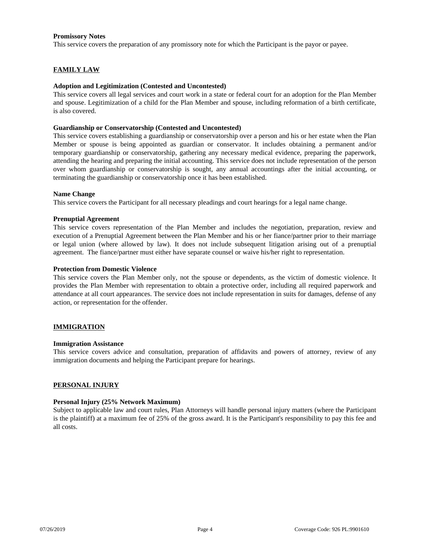## **Promissory Notes**

This service covers the preparation of any promissory note for which the Participant is the payor or payee.

## **FAMILY LAW**

#### **Adoption and Legitimization (Contested and Uncontested)**

This service covers all legal services and court work in a state or federal court for an adoption for the Plan Member and spouse. Legitimization of a child for the Plan Member and spouse, including reformation of a birth certificate, is also covered.

#### **Guardianship or Conservatorship (Contested and Uncontested)**

This service covers establishing a guardianship or conservatorship over a person and his or her estate when the Plan Member or spouse is being appointed as guardian or conservator. It includes obtaining a permanent and/or temporary guardianship or conservatorship, gathering any necessary medical evidence, preparing the paperwork, attending the hearing and preparing the initial accounting. This service does not include representation of the person over whom guardianship or conservatorship is sought, any annual accountings after the initial accounting, or terminating the guardianship or conservatorship once it has been established.

#### **Name Change**

This service covers the Participant for all necessary pleadings and court hearings for a legal name change.

## **Prenuptial Agreement**

This service covers representation of the Plan Member and includes the negotiation, preparation, review and execution of a Prenuptial Agreement between the Plan Member and his or her fiance/partner prior to their marriage or legal union (where allowed by law). It does not include subsequent litigation arising out of a prenuptial agreement. The fiance/partner must either have separate counsel or waive his/her right to representation.

## **Protection from Domestic Violence**

This service covers the Plan Member only, not the spouse or dependents, as the victim of domestic violence. It provides the Plan Member with representation to obtain a protective order, including all required paperwork and attendance at all court appearances. The service does not include representation in suits for damages, defense of any action, or representation for the offender.

## **IMMIGRATION**

#### **Immigration Assistance**

This service covers advice and consultation, preparation of affidavits and powers of attorney, review of any immigration documents and helping the Participant prepare for hearings.

#### **PERSONAL INJURY**

#### **Personal Injury (25% Network Maximum)**

Subject to applicable law and court rules, Plan Attorneys will handle personal injury matters (where the Participant is the plaintiff) at a maximum fee of 25% of the gross award. It is the Participant's responsibility to pay this fee and all costs.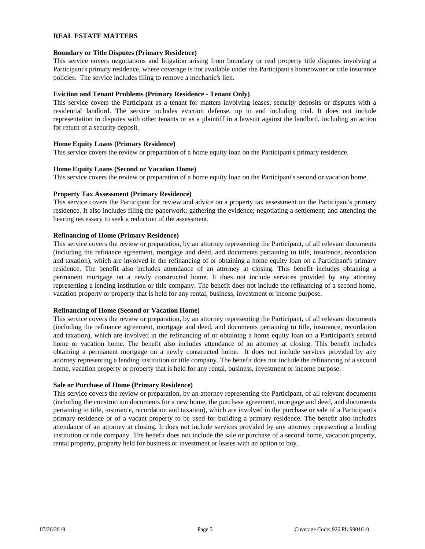## **REAL ESTATE MATTERS**

## **Boundary or Title Disputes (Primary Residence)**

This service covers negotiations and litigation arising from boundary or real property title disputes involving a Participant's primary residence, where coverage is not available under the Participant's homeowner or title insurance policies. The service includes filing to remove a mechanic's lien.

## **Eviction and Tenant Problems (Primary Residence - Tenant Only)**

This service covers the Participant as a tenant for matters involving leases, security deposits or disputes with a residential landlord. The service includes eviction defense, up to and including trial. It does not include representation in disputes with other tenants or as a plaintiff in a lawsuit against the landlord, including an action for return of a security deposit.

## **Home Equity Loans (Primary Residence)**

This service covers the review or preparation of a home equity loan on the Participant's primary residence.

## **Home Equity Loans (Second or Vacation Home)**

This service covers the review or preparation of a home equity loan on the Participant's second or vacation home.

## **Property Tax Assessment (Primary Residence)**

This service covers the Participant for review and advice on a property tax assessment on the Participant's primary residence. It also includes filing the paperwork; gathering the evidence; negotiating a settlement; and attending the hearing necessary to seek a reduction of the assessment.

## **Refinancing of Home (Primary Residence)**

This service covers the review or preparation, by an attorney representing the Participant, of all relevant documents (including the refinance agreement, mortgage and deed, and documents pertaining to title, insurance, recordation and taxation), which are involved in the refinancing of or obtaining a home equity loan on a Participant's primary residence. The benefit also includes attendance of an attorney at closing. This benefit includes obtaining a permanent mortgage on a newly constructed home. It does not include services provided by any attorney representing a lending institution or title company. The benefit does not include the refinancing of a second home, vacation property or property that is held for any rental, business, investment or income purpose.

#### **Refinancing of Home (Second or Vacation Home)**

This service covers the review or preparation, by an attorney representing the Participant, of all relevant documents (including the refinance agreement, mortgage and deed, and documents pertaining to title, insurance, recordation and taxation), which are involved in the refinancing of or obtaining a home equity loan on a Participant's second home or vacation home. The benefit also includes attendance of an attorney at closing. This benefit includes obtaining a permanent mortgage on a newly constructed home. It does not include services provided by any attorney representing a lending institution or title company. The benefit does not include the refinancing of a second home, vacation property or property that is held for any rental, business, investment or income purpose.

#### **Sale or Purchase of Home (Primary Residence)**

This service covers the review or preparation, by an attorney representing the Participant, of all relevant documents (including the construction documents for a new home, the purchase agreement, mortgage and deed, and documents pertaining to title, insurance, recordation and taxation), which are involved in the purchase or sale of a Participant's primary residence or of a vacant property to be used for building a primary residence. The benefit also includes attendance of an attorney at closing. It does not include services provided by any attorney representing a lending institution or title company. The benefit does not include the sale or purchase of a second home, vacation property, rental property, property held for business or investment or leases with an option to buy.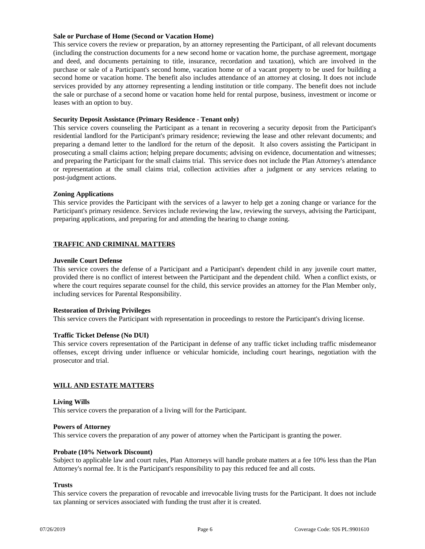## **Sale or Purchase of Home (Second or Vacation Home)**

This service covers the review or preparation, by an attorney representing the Participant, of all relevant documents (including the construction documents for a new second home or vacation home, the purchase agreement, mortgage and deed, and documents pertaining to title, insurance, recordation and taxation), which are involved in the purchase or sale of a Participant's second home, vacation home or of a vacant property to be used for building a second home or vacation home. The benefit also includes attendance of an attorney at closing. It does not include services provided by any attorney representing a lending institution or title company. The benefit does not include the sale or purchase of a second home or vacation home held for rental purpose, business, investment or income or leases with an option to buy.

## **Security Deposit Assistance (Primary Residence - Tenant only)**

This service covers counseling the Participant as a tenant in recovering a security deposit from the Participant's residential landlord for the Participant's primary residence; reviewing the lease and other relevant documents; and preparing a demand letter to the landlord for the return of the deposit. It also covers assisting the Participant in prosecuting a small claims action; helping prepare documents; advising on evidence, documentation and witnesses; and preparing the Participant for the small claims trial. This service does not include the Plan Attorney's attendance or representation at the small claims trial, collection activities after a judgment or any services relating to post-judgment actions.

## **Zoning Applications**

This service provides the Participant with the services of a lawyer to help get a zoning change or variance for the Participant's primary residence. Services include reviewing the law, reviewing the surveys, advising the Participant, preparing applications, and preparing for and attending the hearing to change zoning.

## **TRAFFIC AND CRIMINAL MATTERS**

## **Juvenile Court Defense**

This service covers the defense of a Participant and a Participant's dependent child in any juvenile court matter, provided there is no conflict of interest between the Participant and the dependent child. When a conflict exists, or where the court requires separate counsel for the child, this service provides an attorney for the Plan Member only, including services for Parental Responsibility.

## **Restoration of Driving Privileges**

This service covers the Participant with representation in proceedings to restore the Participant's driving license.

## **Traffic Ticket Defense (No DUI)**

This service covers representation of the Participant in defense of any traffic ticket including traffic misdemeanor offenses, except driving under influence or vehicular homicide, including court hearings, negotiation with the prosecutor and trial.

#### **WILL AND ESTATE MATTERS**

#### **Living Wills**

This service covers the preparation of a living will for the Participant.

#### **Powers of Attorney**

This service covers the preparation of any power of attorney when the Participant is granting the power.

#### **Probate (10% Network Discount)**

Subject to applicable law and court rules, Plan Attorneys will handle probate matters at a fee 10% less than the Plan Attorney's normal fee. It is the Participant's responsibility to pay this reduced fee and all costs.

#### **Trusts**

This service covers the preparation of revocable and irrevocable living trusts for the Participant. It does not include tax planning or services associated with funding the trust after it is created.